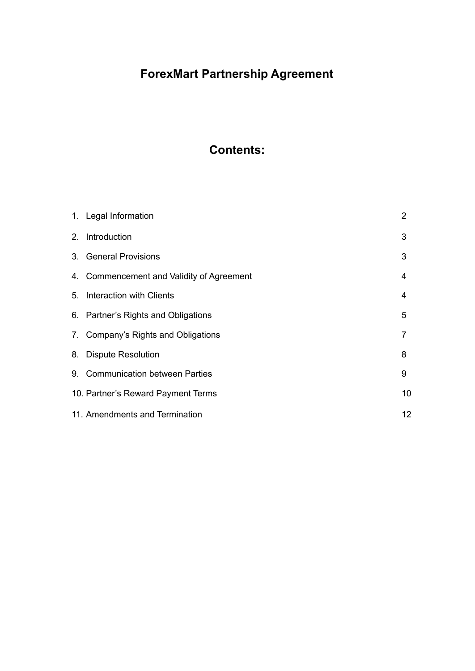# **ForexMart Partnership Agreement**

# **Contents:**

| 1. Legal Information                      | 2  |
|-------------------------------------------|----|
| 2. Introduction                           | 3  |
| 3. General Provisions                     | 3  |
| 4. Commencement and Validity of Agreement | 4  |
| 5. Interaction with Clients               | 4  |
| 6. Partner's Rights and Obligations       | 5  |
| 7. Company's Rights and Obligations       | 7  |
| 8. Dispute Resolution                     | 8  |
| 9. Communication between Parties          | 9  |
| 10. Partner's Reward Payment Terms        | 10 |
| 11. Amendments and Termination            | 12 |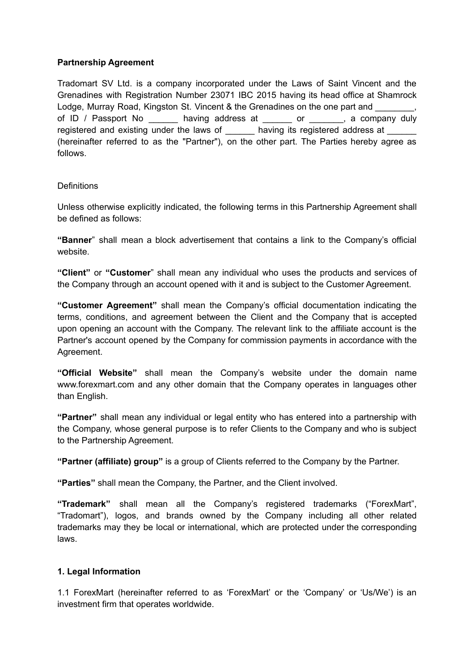#### **Partnership Agreement**

Tradomart SV Ltd. is a company incorporated under the Laws of Saint Vincent and the Grenadines with Registration Number 23071 IBC 2015 having its head office at Shamrock Lodge, Murray Road, Kingston St. Vincent & the Grenadines on the one part and of ID / Passport No baving address at or example of the company duly registered and existing under the laws of having its registered address at (hereinafter referred to as the "Partner"), on the other part. The Parties hereby agree as follows.

# **Definitions**

Unless otherwise explicitly indicated, the following terms in this Partnership Agreement shall be defined as follows:

**"Banner**" shall mean a block advertisement that contains a link to the Company's official website.

**"Client"** or **"Customer**" shall mean any individual who uses the products and services of the Company through an account opened with it and is subject to the Customer Agreement.

**"Customer Agreement"** shall mean the Company's official documentation indicating the terms, conditions, and agreement between the Client and the Company that is accepted upon opening an account with the Company. The relevant link to the affiliate account is the Partner's account opened by the Company for commission payments in accordance with the Agreement.

**"Official Website"** shall mean the Company's website under the domain name www.forexmart.com and any other domain that the Company operates in languages other than English.

**"Partner"** shall mean any individual or legal entity who has entered into a partnership with the Company, whose general purpose is to refer Clients to the Company and who is subject to the Partnership Agreement.

**"Partner (affiliate) group"** is a group of Clients referred to the Company by the Partner.

**"Parties"** shall mean the Company, the Partner, and the Client involved.

**"Trademark"** shall mean all the Company's registered trademarks ("ForexMart", "Tradomart"), logos, and brands owned by the Company including all other related trademarks may they be local or international, which are protected under the corresponding laws.

# **1. Legal Information**

1.1 ForexMart (hereinafter referred to as 'ForexMart' or the 'Company' or 'Us/We') is an investment firm that operates worldwide.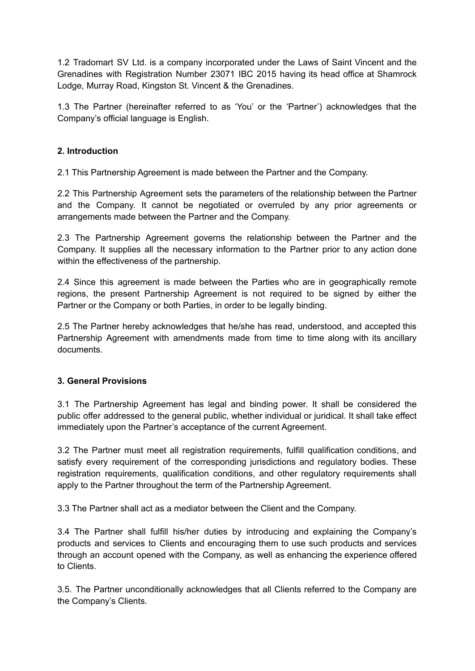1.2 Tradomart SV Ltd. is a company incorporated under the Laws of Saint Vincent and the Grenadines with Registration Number 23071 IBC 2015 having its head office at Shamrock Lodge, Murray Road, Kingston St. Vincent & the Grenadines.

1.3 The Partner (hereinafter referred to as 'You' or the 'Partner') acknowledges that the Company's official language is English.

#### **2. Introduction**

2.1 This Partnership Agreement is made between the Partner and the Company.

2.2 This Partnership Agreement sets the parameters of the relationship between the Partner and the Company. It cannot be negotiated or overruled by any prior agreements or arrangements made between the Partner and the Company.

2.3 The Partnership Agreement governs the relationship between the Partner and the Company. It supplies all the necessary information to the Partner prior to any action done within the effectiveness of the partnership.

2.4 Since this agreement is made between the Parties who are in geographically remote regions, the present Partnership Agreement is not required to be signed by either the Partner or the Company or both Parties, in order to be legally binding.

2.5 The Partner hereby acknowledges that he/she has read, understood, and accepted this Partnership Agreement with amendments made from time to time along with its ancillary documents.

#### **3. General Provisions**

3.1 The Partnership Agreement has legal and binding power. It shall be considered the public offer addressed to the general public, whether individual or juridical. It shall take effect immediately upon the Partner's acceptance of the current Agreement.

3.2 The Partner must meet all registration requirements, fulfill qualification conditions, and satisfy every requirement of the corresponding jurisdictions and regulatory bodies. These registration requirements, qualification conditions, and other regulatory requirements shall apply to the Partner throughout the term of the Partnership Agreement.

3.3 The Partner shall act as a mediator between the Client and the Company.

3.4 The Partner shall fulfill his/her duties by introducing and explaining the Company's products and services to Clients and encouraging them to use such products and services through an account opened with the Company, as well as enhancing the experience offered to Clients.

3.5. The Partner unconditionally acknowledges that all Clients referred to the Company are the Company's Clients.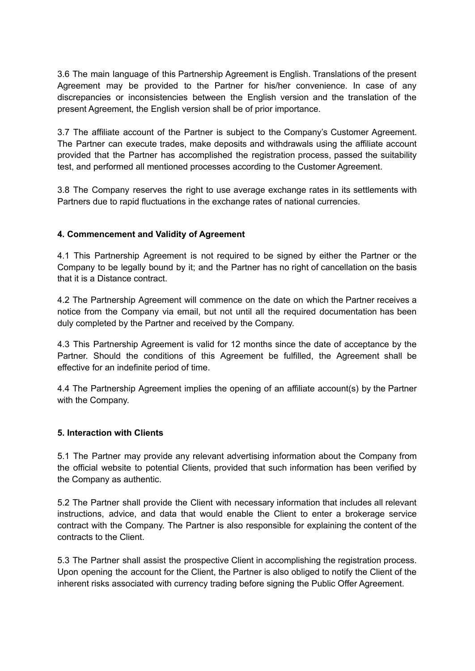3.6 The main language of this Partnership Agreement is English. Translations of the present Agreement may be provided to the Partner for his/her convenience. In case of any discrepancies or inconsistencies between the English version and the translation of the present Agreement, the English version shall be of prior importance.

3.7 The affiliate account of the Partner is subject to the Company's Customer Agreement. The Partner can execute trades, make deposits and withdrawals using the affiliate account provided that the Partner has accomplished the registration process, passed the suitability test, and performed all mentioned processes according to the Customer Agreement.

3.8 The Company reserves the right to use average exchange rates in its settlements with Partners due to rapid fluctuations in the exchange rates of national currencies.

# **4. Commencement and Validity of Agreement**

4.1 This Partnership Agreement is not required to be signed by either the Partner or the Company to be legally bound by it; and the Partner has no right of cancellation on the basis that it is a Distance contract.

4.2 The Partnership Agreement will commence on the date on which the Partner receives a notice from the Company via email, but not until all the required documentation has been duly completed by the Partner and received by the Company.

4.3 This Partnership Agreement is valid for 12 months since the date of acceptance by the Partner. Should the conditions of this Agreement be fulfilled, the Agreement shall be effective for an indefinite period of time.

4.4 The Partnership Agreement implies the opening of an affiliate account(s) by the Partner with the Company.

#### **5. Interaction with Clients**

5.1 The Partner may provide any relevant advertising information about the Company from the official website to potential Clients, provided that such information has been verified by the Company as authentic.

5.2 The Partner shall provide the Client with necessary information that includes all relevant instructions, advice, and data that would enable the Client to enter a brokerage service contract with the Company. The Partner is also responsible for explaining the content of the contracts to the Client.

5.3 The Partner shall assist the prospective Client in accomplishing the registration process. Upon opening the account for the Client, the Partner is also obliged to notify the Client of the inherent risks associated with currency trading before signing the Public Offer Agreement.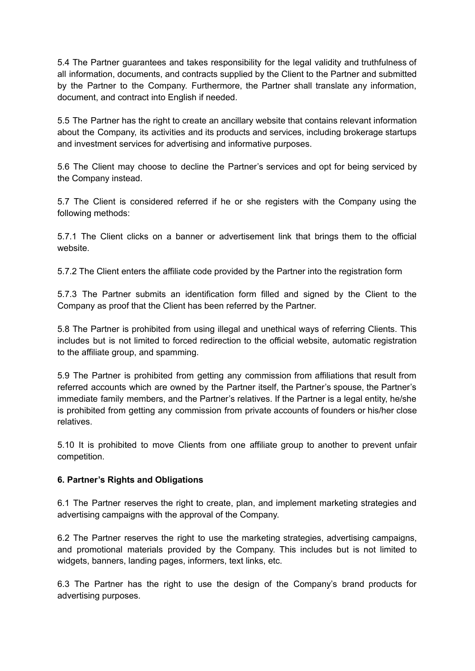5.4 The Partner guarantees and takes responsibility for the legal validity and truthfulness of all information, documents, and contracts supplied by the Client to the Partner and submitted by the Partner to the Company. Furthermore, the Partner shall translate any information, document, and contract into English if needed.

5.5 The Partner has the right to create an ancillary website that contains relevant information about the Company, its activities and its products and services, including brokerage startups and investment services for advertising and informative purposes.

5.6 The Client may choose to decline the Partner's services and opt for being serviced by the Company instead.

5.7 The Client is considered referred if he or she registers with the Company using the following methods:

5.7.1 The Client clicks on a banner or advertisement link that brings them to the official website.

5.7.2 The Client enters the affiliate code provided by the Partner into the registration form

5.7.3 The Partner submits an identification form filled and signed by the Client to the Company as proof that the Client has been referred by the Partner.

5.8 The Partner is prohibited from using illegal and unethical ways of referring Clients. This includes but is not limited to forced redirection to the official website, automatic registration to the affiliate group, and spamming.

5.9 The Partner is prohibited from getting any commission from affiliations that result from referred accounts which are owned by the Partner itself, the Partner's spouse, the Partner's immediate family members, and the Partner's relatives. If the Partner is a legal entity, he/she is prohibited from getting any commission from private accounts of founders or his/her close relatives.

5.10 It is prohibited to move Clients from one affiliate group to another to prevent unfair competition.

#### **6. Partner's Rights and Obligations**

6.1 The Partner reserves the right to create, plan, and implement marketing strategies and advertising campaigns with the approval of the Company.

6.2 The Partner reserves the right to use the marketing strategies, advertising campaigns, and promotional materials provided by the Company. This includes but is not limited to widgets, banners, landing pages, informers, text links, etc.

6.3 The Partner has the right to use the design of the Company's brand products for advertising purposes.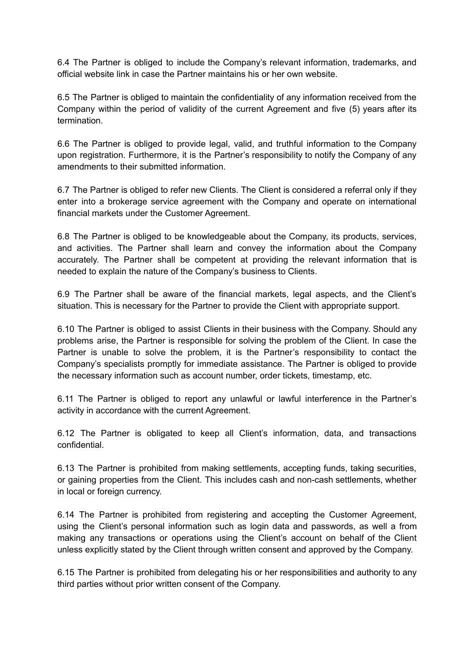6.4 The Partner is obliged to include the Company's relevant information, trademarks, and official website link in case the Partner maintains his or her own website.

6.5 The Partner is obliged to maintain the confidentiality of any information received from the Company within the period of validity of the current Agreement and five (5) years after its termination.

6.6 The Partner is obliged to provide legal, valid, and truthful information to the Company upon registration. Furthermore, it is the Partner's responsibility to notify the Company of any amendments to their submitted information.

6.7 The Partner is obliged to refer new Clients. The Client is considered a referral only if they enter into a brokerage service agreement with the Company and operate on international financial markets under the Customer Agreement.

6.8 The Partner is obliged to be knowledgeable about the Company, its products, services, and activities. The Partner shall learn and convey the information about the Company accurately. The Partner shall be competent at providing the relevant information that is needed to explain the nature of the Company's business to Clients.

6.9 The Partner shall be aware of the financial markets, legal aspects, and the Client's situation. This is necessary for the Partner to provide the Client with appropriate support.

6.10 The Partner is obliged to assist Clients in their business with the Company. Should any problems arise, the Partner is responsible for solving the problem of the Client. In case the Partner is unable to solve the problem, it is the Partner's responsibility to contact the Company's specialists promptly for immediate assistance. The Partner is obliged to provide the necessary information such as account number, order tickets, timestamp, etc.

6.11 The Partner is obliged to report any unlawful or lawful interference in the Partner's activity in accordance with the current Agreement.

6.12 The Partner is obligated to keep all Client's information, data, and transactions confidential.

6.13 The Partner is prohibited from making settlements, accepting funds, taking securities, or gaining properties from the Client. This includes cash and non-cash settlements, whether in local or foreign currency.

6.14 The Partner is prohibited from registering and accepting the Customer Agreement, using the Client's personal information such as login data and passwords, as well a from making any transactions or operations using the Client's account on behalf of the Client unless explicitly stated by the Client through written consent and approved by the Company.

6.15 The Partner is prohibited from delegating his or her responsibilities and authority to any third parties without prior written consent of the Company.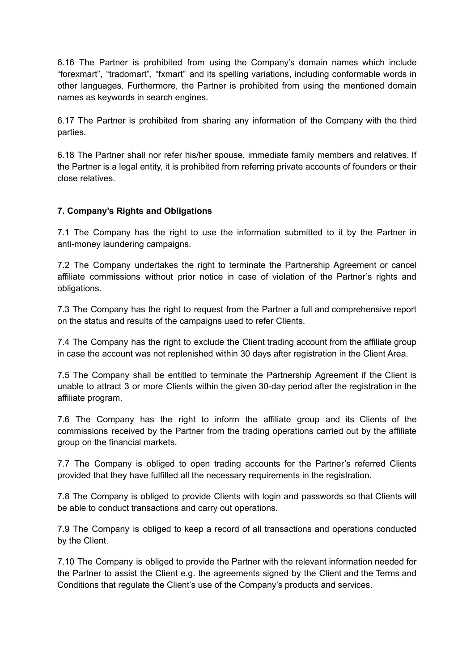6.16 The Partner is prohibited from using the Company's domain names which include "forexmart", "tradomart", "fxmart" and its spelling variations, including conformable words in other languages. Furthermore, the Partner is prohibited from using the mentioned domain names as keywords in search engines.

6.17 The Partner is prohibited from sharing any information of the Company with the third parties.

6.18 The Partner shall nor refer his/her spouse, immediate family members and relatives. If the Partner is a legal entity, it is prohibited from referring private accounts of founders or their close relatives.

# **7. Company's Rights and Obligations**

7.1 The Company has the right to use the information submitted to it by the Partner in anti-money laundering campaigns.

7.2 The Company undertakes the right to terminate the Partnership Agreement or cancel affiliate commissions without prior notice in case of violation of the Partner's rights and obligations.

7.3 The Company has the right to request from the Partner a full and comprehensive report on the status and results of the campaigns used to refer Clients.

7.4 The Company has the right to exclude the Client trading account from the affiliate group in case the account was not replenished within 30 days after registration in the Client Area.

7.5 The Company shall be entitled to terminate the Partnership Agreement if the Client is unable to attract 3 or more Clients within the given 30-day period after the registration in the affiliate program.

7.6 The Company has the right to inform the affiliate group and its Clients of the commissions received by the Partner from the trading operations carried out by the affiliate group on the financial markets.

7.7 The Company is obliged to open trading accounts for the Partner's referred Clients provided that they have fulfilled all the necessary requirements in the registration.

7.8 The Company is obliged to provide Clients with login and passwords so that Clients will be able to conduct transactions and carry out operations.

7.9 The Company is obliged to keep a record of all transactions and operations conducted by the Client.

7.10 The Company is obliged to provide the Partner with the relevant information needed for the Partner to assist the Client e.g. the agreements signed by the Client and the Terms and Conditions that regulate the Client's use of the Company's products and services.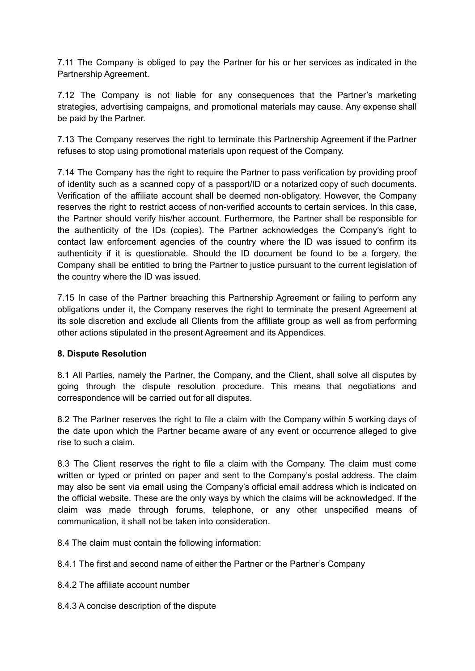7.11 The Company is obliged to pay the Partner for his or her services as indicated in the Partnership Agreement.

7.12 The Company is not liable for any consequences that the Partner's marketing strategies, advertising campaigns, and promotional materials may cause. Any expense shall be paid by the Partner.

7.13 The Company reserves the right to terminate this Partnership Agreement if the Partner refuses to stop using promotional materials upon request of the Company.

7.14 The Company has the right to require the Partner to pass verification by providing proof of identity such as a scanned copy of a passport/ID or a notarized copy of such documents. Verification of the affiliate account shall be deemed non-obligatory. However, the Company reserves the right to restrict access of non-verified accounts to certain services. In this case, the Partner should verify his/her account. Furthermore, the Partner shall be responsible for the authenticity of the IDs (copies). The Partner acknowledges the Company's right to contact law enforcement agencies of the country where the ID was issued to confirm its authenticity if it is questionable. Should the ID document be found to be a forgery, the Company shall be entitled to bring the Partner to justice pursuant to the current legislation of the country where the ID was issued.

7.15 In case of the Partner breaching this Partnership Agreement or failing to perform any obligations under it, the Company reserves the right to terminate the present Agreement at its sole discretion and exclude all Clients from the affiliate group as well as from performing other actions stipulated in the present Agreement and its Appendices.

#### **8. Dispute Resolution**

8.1 All Parties, namely the Partner, the Company, and the Client, shall solve all disputes by going through the dispute resolution procedure. This means that negotiations and correspondence will be carried out for all disputes.

8.2 The Partner reserves the right to file a claim with the Company within 5 working days of the date upon which the Partner became aware of any event or occurrence alleged to give rise to such a claim.

8.3 The Client reserves the right to file a claim with the Company. The claim must come written or typed or printed on paper and sent to the Company's postal address. The claim may also be sent via email using the Company's official email address which is indicated on the official website. These are the only ways by which the claims will be acknowledged. If the claim was made through forums, telephone, or any other unspecified means of communication, it shall not be taken into consideration.

8.4 The claim must contain the following information:

8.4.1 The first and second name of either the Partner or the Partner's Company

8.4.2 The affiliate account number

8.4.3 A concise description of the dispute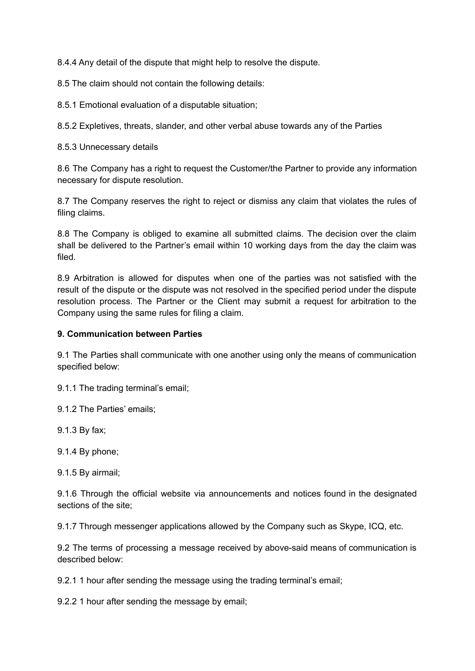8.4.4 Any detail of the dispute that might help to resolve the dispute.

8.5 The claim should not contain the following details:

8.5.1 Emotional evaluation of a disputable situation;

8.5.2 Expletives, threats, slander, and other verbal abuse towards any of the Parties

8.5.3 Unnecessary details

8.6 The Company has a right to request the Customer/the Partner to provide any information necessary for dispute resolution.

8.7 The Company reserves the right to reject or dismiss any claim that violates the rules of filing claims.

8.8 The Company is obliged to examine all submitted claims. The decision over the claim shall be delivered to the Partner's email within 10 working days from the day the claim was filed.

8.9 Arbitration is allowed for disputes when one of the parties was not satisfied with the result of the dispute or the dispute was not resolved in the specified period under the dispute resolution process. The Partner or the Client may submit a request for arbitration to the Company using the same rules for filing a claim.

# **9. Communication between Parties**

9.1 The Parties shall communicate with one another using only the means of communication specified below:

9.1.1 The trading terminal's email;

9.1.2 The Parties' emails;

9.1.3 By fax;

9.1.4 By phone;

9.1.5 By airmail;

9.1.6 Through the official website via announcements and notices found in the designated sections of the site;

9.1.7 Through messenger applications allowed by the Company such as Skype, ICQ, etc.

9.2 The terms of processing a message received by above-said means of communication is described below:

9.2.1 1 hour after sending the message using the trading terminal's email;

9.2.2 1 hour after sending the message by email;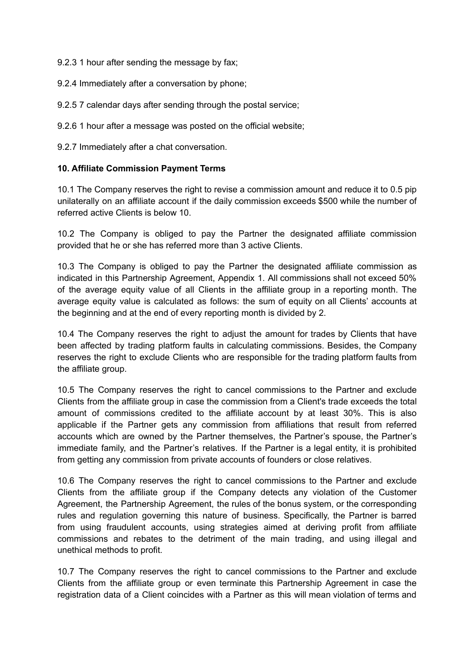9.2.3 1 hour after sending the message by fax;

9.2.4 Immediately after a conversation by phone;

9.2.5 7 calendar days after sending through the postal service;

9.2.6 1 hour after a message was posted on the official website;

9.2.7 Immediately after a chat conversation.

#### **10. Affiliate Commission Payment Terms**

10.1 The Company reserves the right to revise a commission amount and reduce it to 0.5 pip unilaterally on an affiliate account if the daily commission exceeds \$500 while the number of referred active Clients is below 10.

10.2 The Company is obliged to pay the Partner the designated affiliate commission provided that he or she has referred more than 3 active Clients.

10.3 The Company is obliged to pay the Partner the designated affiliate commission as indicated in this Partnership Agreement, Appendix 1. All commissions shall not exceed 50% of the average equity value of all Clients in the affiliate group in a reporting month. The average equity value is calculated as follows: the sum of equity on all Clients' accounts at the beginning and at the end of every reporting month is divided by 2.

10.4 The Company reserves the right to adjust the amount for trades by Clients that have been affected by trading platform faults in calculating commissions. Besides, the Company reserves the right to exclude Clients who are responsible for the trading platform faults from the affiliate group.

10.5 The Company reserves the right to cancel commissions to the Partner and exclude Clients from the affiliate group in case the commission from a Client's trade exceeds the total amount of commissions credited to the affiliate account by at least 30%. This is also applicable if the Partner gets any commission from affiliations that result from referred accounts which are owned by the Partner themselves, the Partner's spouse, the Partner's immediate family, and the Partner's relatives. If the Partner is a legal entity, it is prohibited from getting any commission from private accounts of founders or close relatives.

10.6 The Company reserves the right to cancel commissions to the Partner and exclude Clients from the affiliate group if the Company detects any violation of the Customer Agreement, the Partnership Agreement, the rules of the bonus system, or the corresponding rules and regulation governing this nature of business. Specifically, the Partner is barred from using fraudulent accounts, using strategies aimed at deriving profit from affiliate commissions and rebates to the detriment of the main trading, and using illegal and unethical methods to profit.

10.7 The Company reserves the right to cancel commissions to the Partner and exclude Clients from the affiliate group or even terminate this Partnership Agreement in case the registration data of a Client coincides with a Partner as this will mean violation of terms and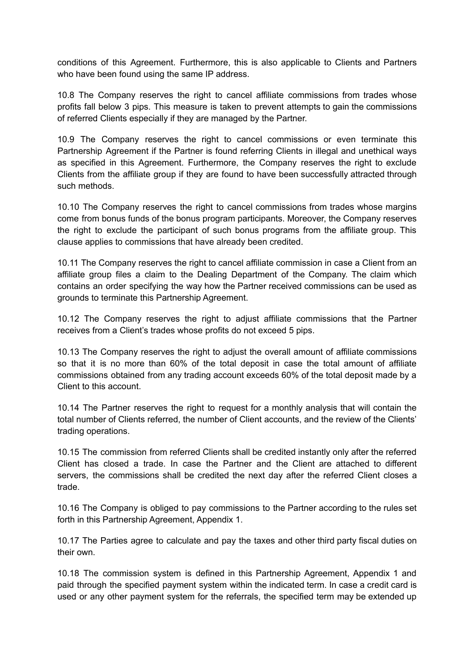conditions of this Agreement. Furthermore, this is also applicable to Clients and Partners who have been found using the same IP address.

10.8 The Company reserves the right to cancel affiliate commissions from trades whose profits fall below 3 pips. This measure is taken to prevent attempts to gain the commissions of referred Clients especially if they are managed by the Partner.

10.9 The Company reserves the right to cancel commissions or even terminate this Partnership Agreement if the Partner is found referring Clients in illegal and unethical ways as specified in this Agreement. Furthermore, the Company reserves the right to exclude Clients from the affiliate group if they are found to have been successfully attracted through such methods.

10.10 The Company reserves the right to cancel commissions from trades whose margins come from bonus funds of the bonus program participants. Moreover, the Company reserves the right to exclude the participant of such bonus programs from the affiliate group. This clause applies to commissions that have already been credited.

10.11 The Company reserves the right to cancel affiliate commission in case a Client from an affiliate group files a claim to the Dealing Department of the Company. The claim which contains an order specifying the way how the Partner received commissions can be used as grounds to terminate this Partnership Agreement.

10.12 The Company reserves the right to adjust affiliate commissions that the Partner receives from a Client's trades whose profits do not exceed 5 pips.

10.13 The Company reserves the right to adjust the overall amount of affiliate commissions so that it is no more than 60% of the total deposit in case the total amount of affiliate commissions obtained from any trading account exceeds 60% of the total deposit made by a Client to this account.

10.14 The Partner reserves the right to request for a monthly analysis that will contain the total number of Clients referred, the number of Client accounts, and the review of the Clients' trading operations.

10.15 The commission from referred Clients shall be credited instantly only after the referred Client has closed a trade. In case the Partner and the Client are attached to different servers, the commissions shall be credited the next day after the referred Client closes a trade.

10.16 The Company is obliged to pay commissions to the Partner according to the rules set forth in this Partnership Agreement, Appendix 1.

10.17 The Parties agree to calculate and pay the taxes and other third party fiscal duties on their own.

10.18 The commission system is defined in this Partnership Agreement, Appendix 1 and paid through the specified payment system within the indicated term. In case a credit card is used or any other payment system for the referrals, the specified term may be extended up